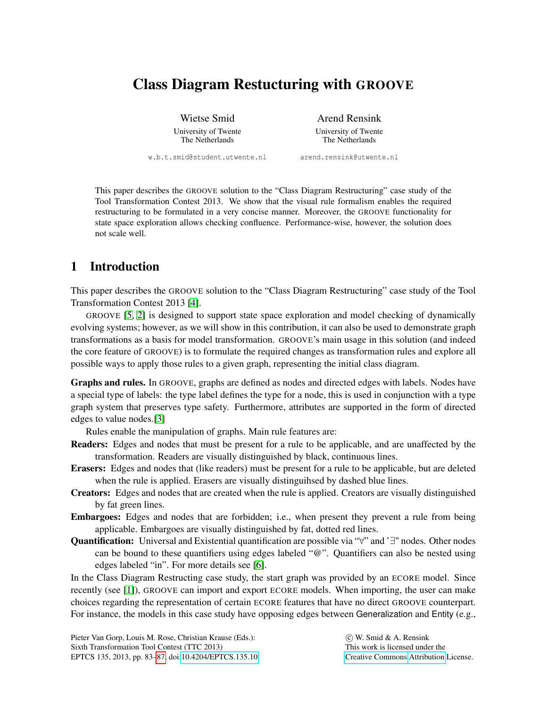# Class Diagram Restucturing with GROOVE

Wietse Smid University of Twente The Netherlands

Arend Rensink

University of Twente The Netherlands

w.b.t.smid@student.utwente.nl

arend.rensink@utwente.nl

This paper describes the GROOVE solution to the "Class Diagram Restructuring" case study of the Tool Transformation Contest 2013. We show that the visual rule formalism enables the required restructuring to be formulated in a very concise manner. Moreover, the GROOVE functionality for state space exploration allows checking confluence. Performance-wise, however, the solution does not scale well.

## 1 Introduction

This paper describes the GROOVE solution to the "Class Diagram Restructuring" case study of the Tool Transformation Contest 2013 [\[4\]](#page-4-1).

GROOVE [\[5,](#page-4-2) [2\]](#page-4-3) is designed to support state space exploration and model checking of dynamically evolving systems; however, as we will show in this contribution, it can also be used to demonstrate graph transformations as a basis for model transformation. GROOVE's main usage in this solution (and indeed the core feature of GROOVE) is to formulate the required changes as transformation rules and explore all possible ways to apply those rules to a given graph, representing the initial class diagram.

Graphs and rules. In GROOVE, graphs are defined as nodes and directed edges with labels. Nodes have a special type of labels: the type label defines the type for a node, this is used in conjunction with a type graph system that preserves type safety. Furthermore, attributes are supported in the form of directed edges to value nodes.[\[3\]](#page-4-4)

Rules enable the manipulation of graphs. Main rule features are:

- Readers: Edges and nodes that must be present for a rule to be applicable, and are unaffected by the transformation. Readers are visually distinguished by black, continuous lines.
- Erasers: Edges and nodes that (like readers) must be present for a rule to be applicable, but are deleted when the rule is applied. Erasers are visually distinguihsed by dashed blue lines.
- Creators: Edges and nodes that are created when the rule is applied. Creators are visually distinguished by fat green lines.
- Embargoes: Edges and nodes that are forbidden; i.e., when present they prevent a rule from being applicable. Embargoes are visually distinguished by fat, dotted red lines.
- Quantification: Universal and Existential quantification are possible via "∀" and '∃" nodes. Other nodes can be bound to these quantifiers using edges labeled "@". Quantifiers can also be nested using edges labeled "in". For more details see [\[6\]](#page-4-5).

In the Class Diagram Restructing case study, the start graph was provided by an ECORE model. Since recently (see [\[1\]](#page-4-6)), GROOVE can import and export ECORE models. When importing, the user can make choices regarding the representation of certain ECORE features that have no direct GROOVE counterpart. For instance, the models in this case study have opposing edges between Generalization and Entity (e.g.,

Pieter Van Gorp, Louis M. Rose, Christian Krause (Eds.): Sixth Transformation Tool Contest (TTC 2013) EPTCS 135, 2013, pp. 83[–87,](#page-4-0) doi[:10.4204/EPTCS.135.10](http://dx.doi.org/10.4204/EPTCS.135.10)

 c W. Smid & A. Rensink This work is licensed under the [Creative Commons](http://creativecommons.org) [Attribution](http://creativecommons.org/licenses/by/3.0/) License.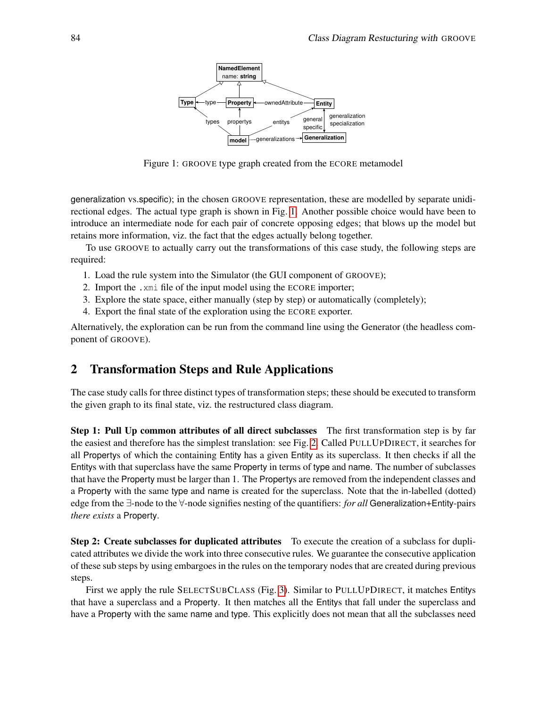

<span id="page-1-0"></span>Figure 1: GROOVE type graph created from the ECORE metamodel

generalization vs.specific); in the chosen GROOVE representation, these are modelled by separate unidirectional edges. The actual type graph is shown in Fig. [1.](#page-1-0) Another possible choice would have been to introduce an intermediate node for each pair of concrete opposing edges; that blows up the model but retains more information, viz. the fact that the edges actually belong together.

To use GROOVE to actually carry out the transformations of this case study, the following steps are required:

- 1. Load the rule system into the Simulator (the GUI component of GROOVE);
- 2. Import the .xmi file of the input model using the ECORE importer;
- 3. Explore the state space, either manually (step by step) or automatically (completely);
- 4. Export the final state of the exploration using the ECORE exporter.

Alternatively, the exploration can be run from the command line using the Generator (the headless component of GROOVE).

#### <span id="page-1-1"></span>2 Transformation Steps and Rule Applications

The case study calls for three distinct types of transformation steps; these should be executed to transform the given graph to its final state, viz. the restructured class diagram.

Step 1: Pull Up common attributes of all direct subclasses The first transformation step is by far the easiest and therefore has the simplest translation: see Fig. [2.](#page-2-0) Called PULLUPDIRECT, it searches for all Propertys of which the containing Entity has a given Entity as its superclass. It then checks if all the Entitys with that superclass have the same Property in terms of type and name. The number of subclasses that have the Property must be larger than 1. The Propertys are removed from the independent classes and a Property with the same type and name is created for the superclass. Note that the in-labelled (dotted) edge from the ∃-node to the ∀-node signifies nesting of the quantifiers: *for all* Generalization+Entity-pairs *there exists* a Property.

**Step 2: Create subclasses for duplicated attributes** To execute the creation of a subclass for duplicated attributes we divide the work into three consecutive rules. We guarantee the consecutive application of these sub steps by using embargoes in the rules on the temporary nodes that are created during previous steps.

First we apply the rule SELECTSUBCLASS (Fig. [3\)](#page-3-0). Similar to PULLUPDIRECT, it matches Entitys that have a superclass and a Property. It then matches all the Entitys that fall under the superclass and have a Property with the same name and type. This explicitly does not mean that all the subclasses need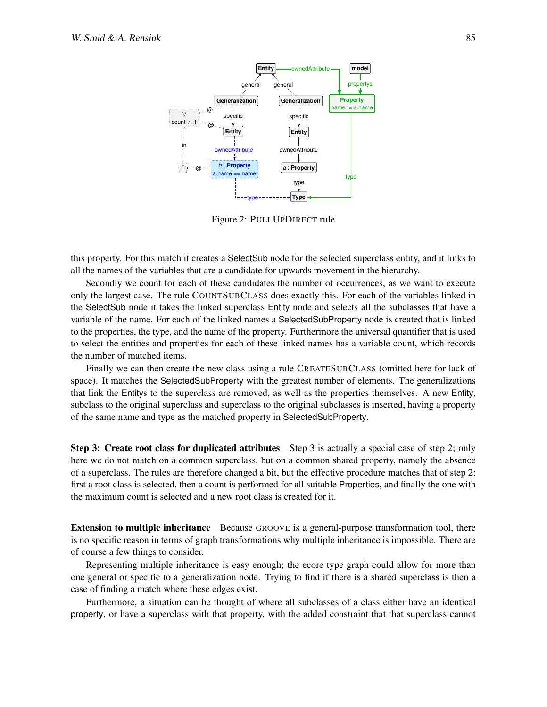

<span id="page-2-0"></span>Figure 2: PULLUPDIRECT rule

this property. For this match it creates a SelectSub node for the selected superclass entity, and it links to all the names of the variables that are a candidate for upwards movement in the hierarchy.

Secondly we count for each of these candidates the number of occurrences, as we want to execute only the largest case. The rule COUNTSUBCLASS does exactly this. For each of the variables linked in the SelectSub node it takes the linked superclass Entity node and selects all the subclasses that have a variable of the name. For each of the linked names a SelectedSubProperty node is created that is linked to the properties, the type, and the name of the property. Furthermore the universal quantifier that is used to select the entities and properties for each of these linked names has a variable count, which records the number of matched items.

Finally we can then create the new class using a rule CREATESUBCLASS (omitted here for lack of space). It matches the SelectedSubProperty with the greatest number of elements. The generalizations that link the Entitys to the superclass are removed, as well as the properties themselves. A new Entity, subclass to the original superclass and superclass to the original subclasses is inserted, having a property of the same name and type as the matched property in SelectedSubProperty.

Step 3: Create root class for duplicated attributes Step 3 is actually a special case of step 2; only here we do not match on a common superclass, but on a common shared property, namely the absence of a superclass. The rules are therefore changed a bit, but the effective procedure matches that of step 2: first a root class is selected, then a count is performed for all suitable Properties, and finally the one with the maximum count is selected and a new root class is created for it.

Extension to multiple inheritance Because GROOVE is a general-purpose transformation tool, there is no specific reason in terms of graph transformations why multiple inheritance is impossible. There are of course a few things to consider.

Representing multiple inheritance is easy enough; the ecore type graph could allow for more than one general or specific to a generalization node. Trying to find if there is a shared superclass is then a case of finding a match where these edges exist.

Furthermore, a situation can be thought of where all subclasses of a class either have an identical property, or have a superclass with that property, with the added constraint that that superclass cannot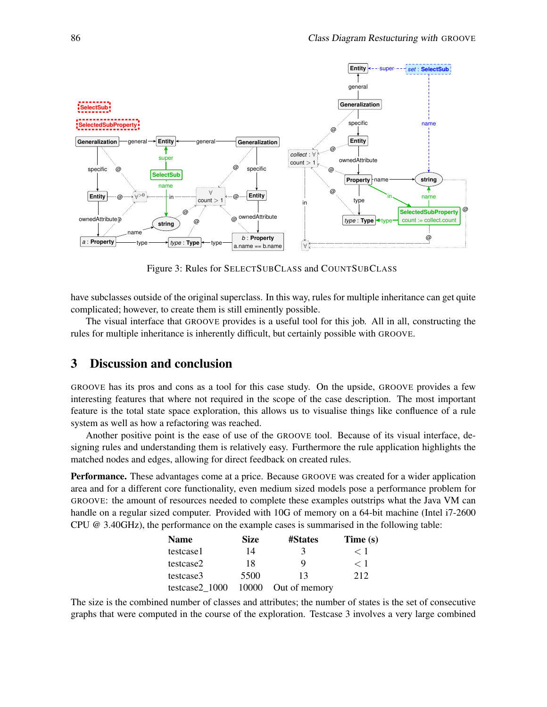

<span id="page-3-0"></span>Figure 3: Rules for SELECTSUBCLASS and COUNTSUBCLASS

have subclasses outside of the original superclass. In this way, rules for multiple inheritance can get quite complicated; however, to create them is still eminently possible.

The visual interface that GROOVE provides is a useful tool for this job. All in all, constructing the rules for multiple inheritance is inherently difficult, but certainly possible with GROOVE.

#### 3 Discussion and conclusion

GROOVE has its pros and cons as a tool for this case study. On the upside, GROOVE provides a few interesting features that where not required in the scope of the case description. The most important feature is the total state space exploration, this allows us to visualise things like confluence of a rule system as well as how a refactoring was reached.

Another positive point is the ease of use of the GROOVE tool. Because of its visual interface, designing rules and understanding them is relatively easy. Furthermore the rule application highlights the matched nodes and edges, allowing for direct feedback on created rules.

Performance. These advantages come at a price. Because GROOVE was created for a wider application area and for a different core functionality, even medium sized models pose a performance problem for GROOVE: the amount of resources needed to complete these examples outstrips what the Java VM can handle on a regular sized computer. Provided with 10G of memory on a 64-bit machine (Intel i7-2600 CPU @ 3.40GHz), the performance on the example cases is summarised in the following table:

| <b>Name</b>    | <b>Size</b> | <b>#States</b>      | Time $(s)$  |
|----------------|-------------|---------------------|-------------|
| testcase1      | 14          | 3                   | $\langle$ 1 |
| testcase2      | 18          | Q                   | < 1         |
| testcase3      | 5500        | 13                  | 2.12        |
| testcase2 1000 |             | 10000 Out of memory |             |

The size is the combined number of classes and attributes; the number of states is the set of consecutive graphs that were computed in the course of the exploration. Testcase 3 involves a very large combined